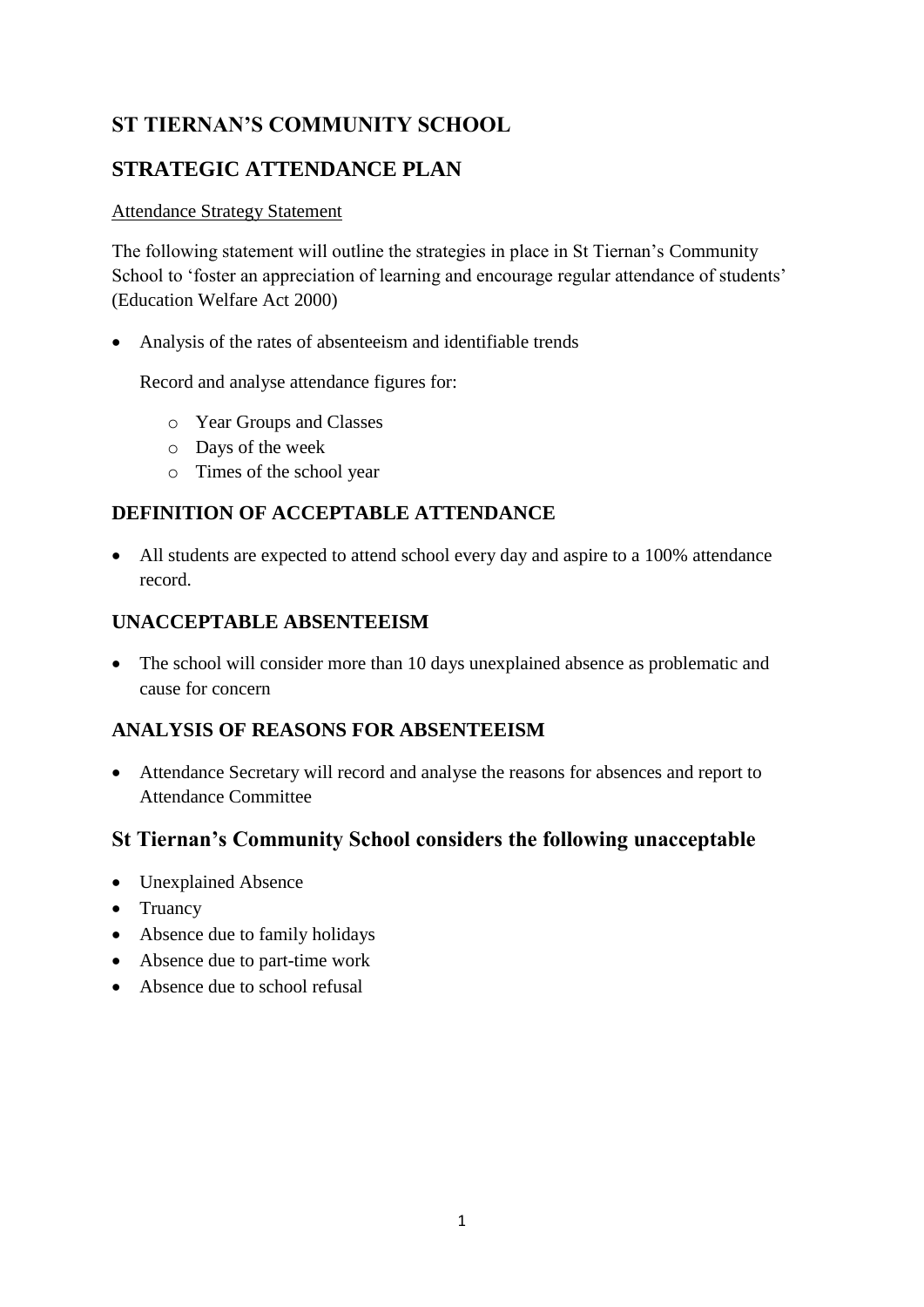# **ST TIERNAN'S COMMUNITY SCHOOL**

## **STRATEGIC ATTENDANCE PLAN**

#### Attendance Strategy Statement

The following statement will outline the strategies in place in St Tiernan's Community School to 'foster an appreciation of learning and encourage regular attendance of students' (Education Welfare Act 2000)

Analysis of the rates of absenteeism and identifiable trends

Record and analyse attendance figures for:

- o Year Groups and Classes
- o Days of the week
- o Times of the school year

## **DEFINITION OF ACCEPTABLE ATTENDANCE**

 All students are expected to attend school every day and aspire to a 100% attendance record.

#### **UNACCEPTABLE ABSENTEEISM**

 The school will consider more than 10 days unexplained absence as problematic and cause for concern

### **ANALYSIS OF REASONS FOR ABSENTEEISM**

 Attendance Secretary will record and analyse the reasons for absences and report to Attendance Committee

### **St Tiernan's Community School considers the following unacceptable**

- Unexplained Absence
- Truancy
- Absence due to family holidays
- Absence due to part-time work
- Absence due to school refusal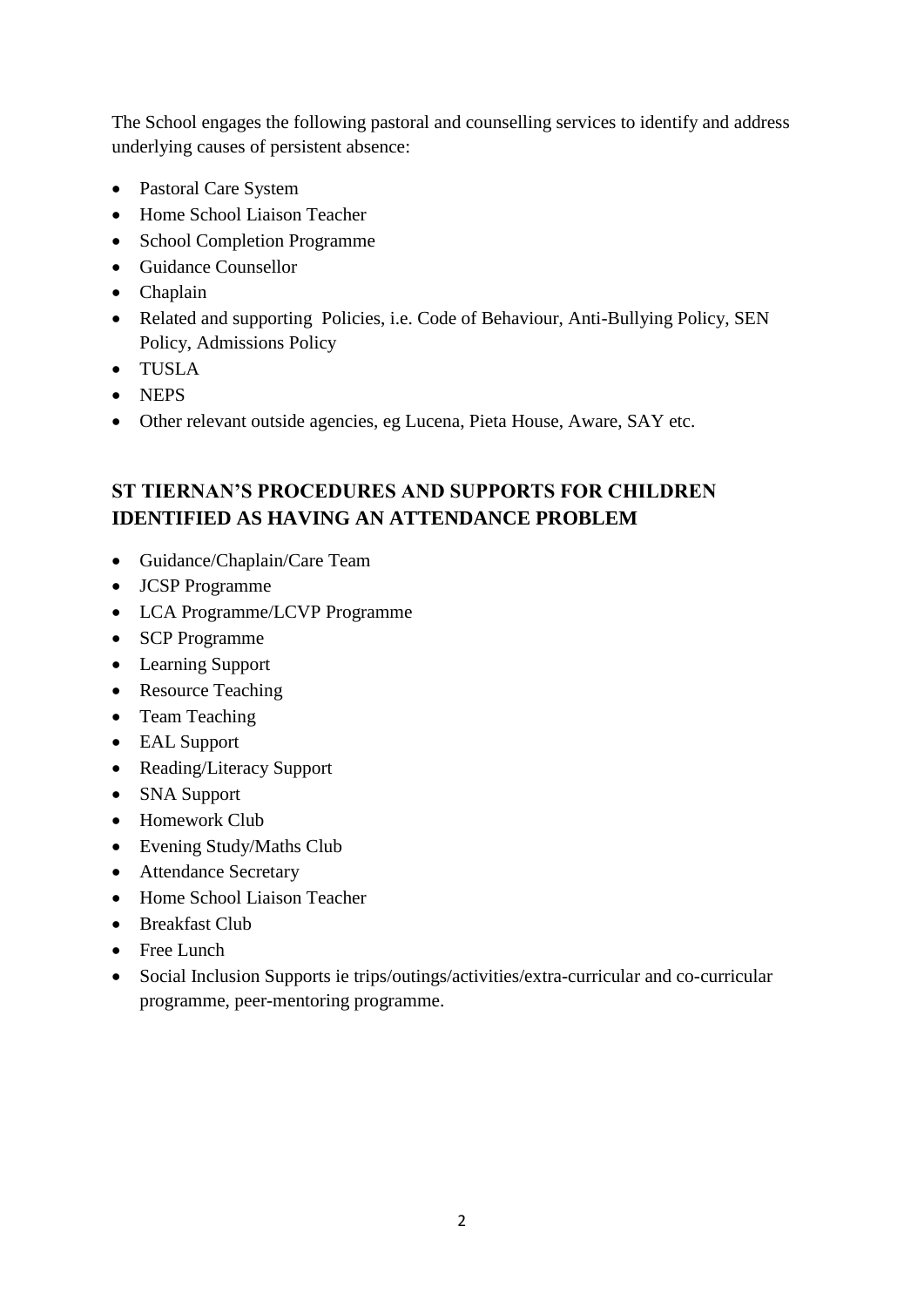The School engages the following pastoral and counselling services to identify and address underlying causes of persistent absence:

- Pastoral Care System
- Home School Liaison Teacher
- School Completion Programme
- Guidance Counsellor
- Chaplain
- Related and supporting Policies, i.e. Code of Behaviour, Anti-Bullying Policy, SEN Policy, Admissions Policy
- TUSLA
- NEPS
- Other relevant outside agencies, eg Lucena, Pieta House, Aware, SAY etc.

## **ST TIERNAN'S PROCEDURES AND SUPPORTS FOR CHILDREN IDENTIFIED AS HAVING AN ATTENDANCE PROBLEM**

- Guidance/Chaplain/Care Team
- JCSP Programme
- LCA Programme/LCVP Programme
- SCP Programme
- Learning Support
- Resource Teaching
- Team Teaching
- EAL Support
- Reading/Literacy Support
- SNA Support
- Homework Club
- Evening Study/Maths Club
- Attendance Secretary
- Home School Liaison Teacher
- Breakfast Club
- Free Lunch
- Social Inclusion Supports ie trips/outings/activities/extra-curricular and co-curricular programme, peer-mentoring programme.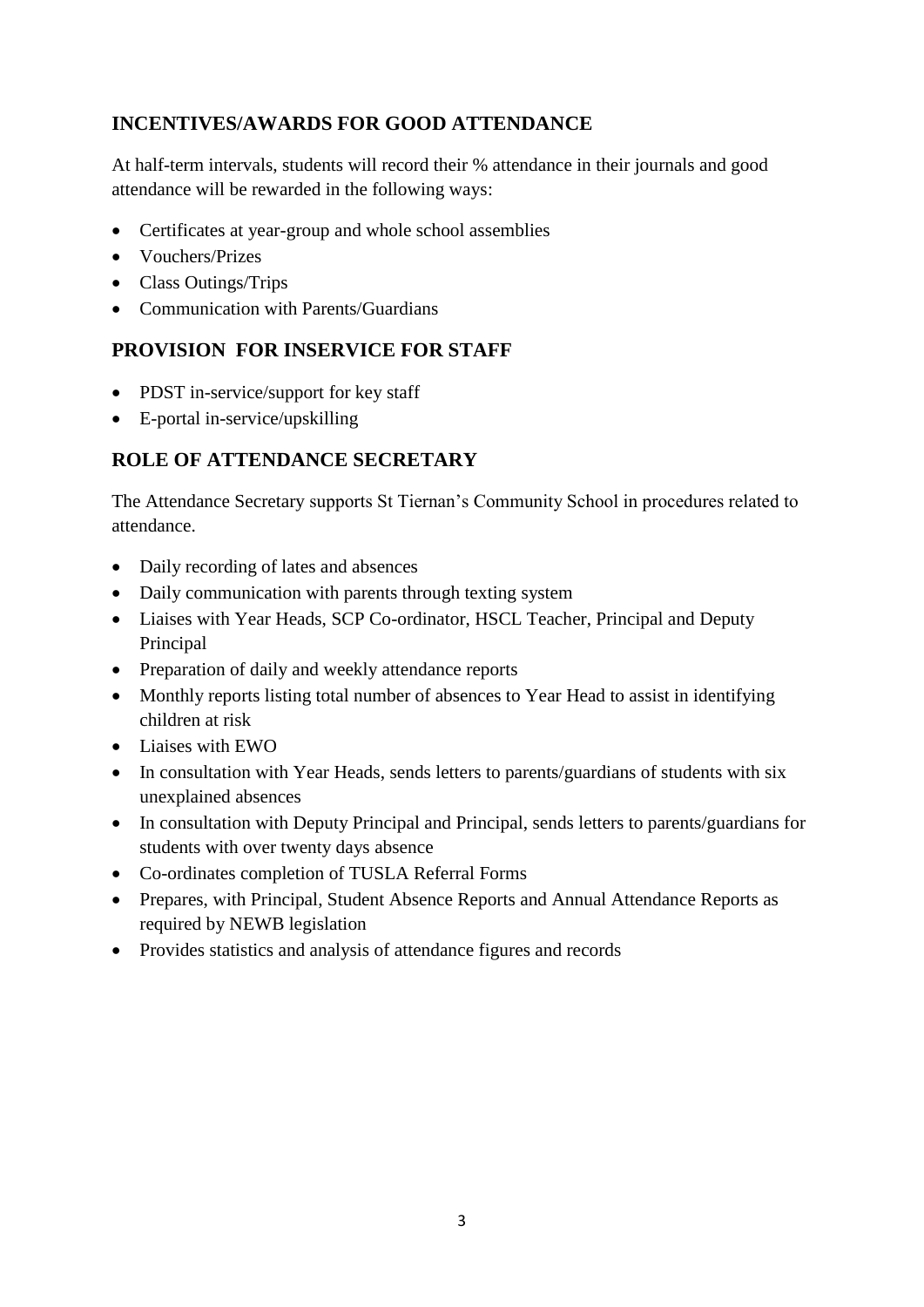## **INCENTIVES/AWARDS FOR GOOD ATTENDANCE**

At half-term intervals, students will record their % attendance in their journals and good attendance will be rewarded in the following ways:

- Certificates at year-group and whole school assemblies
- Vouchers/Prizes
- Class Outings/Trips
- Communication with Parents/Guardians

#### **PROVISION FOR INSERVICE FOR STAFF**

- PDST in-service/support for key staff
- E-portal in-service/upskilling

#### **ROLE OF ATTENDANCE SECRETARY**

The Attendance Secretary supports St Tiernan's Community School in procedures related to attendance.

- Daily recording of lates and absences
- Daily communication with parents through texting system
- Liaises with Year Heads, SCP Co-ordinator, HSCL Teacher, Principal and Deputy Principal
- Preparation of daily and weekly attendance reports
- Monthly reports listing total number of absences to Year Head to assist in identifying children at risk
- Liaises with EWO
- In consultation with Year Heads, sends letters to parents/guardians of students with six unexplained absences
- In consultation with Deputy Principal and Principal, sends letters to parents/guardians for students with over twenty days absence
- Co-ordinates completion of TUSLA Referral Forms
- Prepares, with Principal, Student Absence Reports and Annual Attendance Reports as required by NEWB legislation
- Provides statistics and analysis of attendance figures and records